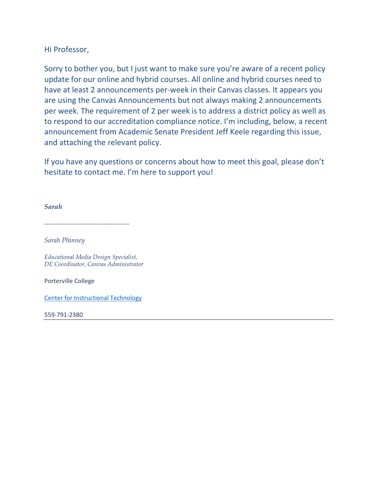Hi Professor,

Sorry to bother you, but I just want to make sure you're aware of a recent policy update for our online and hybrid courses. All online and hybrid courses need to have at least 2 announcements per-week in their Canvas classes. It appears you are using the Canvas Announcements but not always making 2 announcements per week. The requirement of 2 per week is to address a district policy as well as to respond to our accreditation compliance notice. I'm including, below, a recent announcement from Academic Senate President Jeff Keele regarding this issue, and attaching the relevant policy.

If you have any questions or concerns about how to meet this goal, please don't hesitate to contact me. I'm here to support you!

*Sarah*

-----------------------------------------

*Sarah Phinney*

*Educational Media Design Specialist, DE Coordinator, Canvas Administrator*

Porterville College

[Center for Instructional Technology](https://kccd.instructure.com/courses/24513)

559-791-2380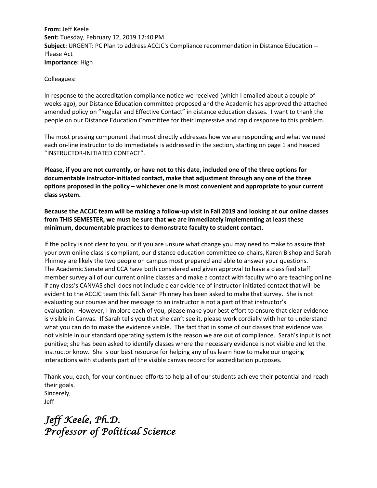**From:** Jeff Keele **Sent:** Tuesday, February 12, 2019 12:40 PM **Subject:** URGENT: PC Plan to address ACCJC's Compliance recommendation in Distance Education -- Please Act **Importance:** High

## Colleagues:

In response to the accreditation compliance notice we received (which I emailed about a couple of weeks ago), our Distance Education committee proposed and the Academic has approved the attached amended policy on "Regular and Effective Contact" in distance education classes. I want to thank the people on our Distance Education Committee for their impressive and rapid response to this problem.

The most pressing component that most directly addresses how we are responding and what we need each on-line instructor to do immediately is addressed in the section, starting on page 1 and headed "INSTRUCTOR-INITIATED CONTACT".

**Please, if you are not currently, or have not to this date, included one of the three options for documentable instructor-initiated contact, make that adjustment through any one of the three options proposed in the policy – whichever one is most convenient and appropriate to your current class system.**

**Because the ACCJC team will be making a follow-up visit in Fall 2019 and looking at our online classes from THIS SEMESTER, we must be sure that we are immediately implementing at least these minimum, documentable practices to demonstrate faculty to student contact.** 

If the policy is not clear to you, or if you are unsure what change you may need to make to assure that your own online class is compliant, our distance education committee co-chairs, Karen Bishop and Sarah Phinney are likely the two people on campus most prepared and able to answer your questions. The Academic Senate and CCA have both considered and given approval to have a classified staff member survey all of our current online classes and make a contact with faculty who are teaching online if any class's CANVAS shell does not include clear evidence of instructor-initiated contact that will be evident to the ACCJC team this fall. Sarah Phinney has been asked to make that survey. She is not evaluating our courses and her message to an instructor is not a part of that instructor's evaluation. However, I implore each of you, please make your best effort to ensure that clear evidence is visible in Canvas. If Sarah tells you that she can't see it, please work cordially with her to understand what you can do to make the evidence visible. The fact that in some of our classes that evidence was not visible in our standard operating system is the reason we are out of compliance. Sarah's input is not punitive; she has been asked to identify classes where the necessary evidence is not visible and let the instructor know. She is our best resource for helping any of us learn how to make our ongoing interactions with students part of the visible canvas record for accreditation purposes.

Thank you, each, for your continued efforts to help all of our students achieve their potential and reach their goals. Sincerely, Jeff

*Jeff Keele, Ph.D. Professor of Political Science*